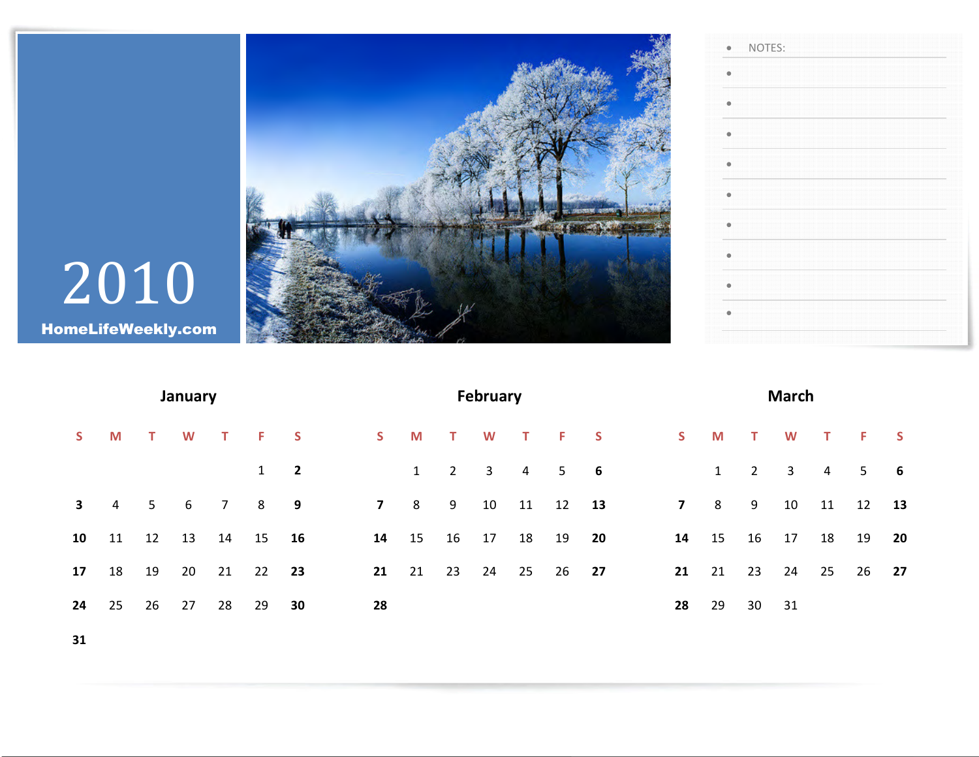

•

•

•

•

•

•

•

•

•

•

NOTES:

## 2010 HomeLifeWeekly.com

| January      |                |     |    |                     |       |                         |  |                |       |              | <b>February</b> |                |          | <b>March</b> |                |         |             |                |                |                 |              |
|--------------|----------------|-----|----|---------------------|-------|-------------------------|--|----------------|-------|--------------|-----------------|----------------|----------|--------------|----------------|---------|-------------|----------------|----------------|-----------------|--------------|
| S.           | M              | T W |    | $\mathbf{T}$        | F.    | $\overline{\mathbf{S}}$ |  | S              | M     | $\mathbf{T}$ | W               |                | T F S    |              |                | S M T W |             |                | $\mathbf{T}$   | $\sim$ F $\sim$ | $\mathsf{S}$ |
|              |                |     |    |                     |       | $1 \quad 2$             |  |                | 1     | $2^{\circ}$  | $\mathbf{3}$    | $\overline{4}$ |          | $5 \t\t\t 6$ |                | 1       | $2^{\circ}$ | 3 <sup>7</sup> | $\overline{4}$ | 5               | $-6$         |
| $\mathbf{3}$ | $\overline{4}$ |     |    | $5\qquad 6\qquad 7$ | 8 9   |                         |  | 7 <sup>7</sup> | 8     | 9            |                 | 10 11          | 12       | 13           | $\overline{7}$ | 8       | 9           | 10             | 11             | 12              | 13           |
| 10           | 11             | 12  | 13 | 14                  | 15 16 |                         |  |                | 14 15 | 16           | 17              | 18             | 19       | 20           | 14             | 15      | 16          | 17             | 18             | 19              | 20           |
| 17           | 18             | 19  | 20 | 21                  | 22    | 23                      |  | 21             | 21    | 23           | 24              |                | 25 26 27 |              | 21             | 21      | 23          | 24             | 25             | 26              | 27           |
| 24           | 25             | 26  | 27 | 28                  | 29    | 30                      |  | 28             |       |              |                 |                |          |              | 28             | 29      | 30          | 31             |                |                 |              |
|              |                |     |    |                     |       |                         |  |                |       |              |                 |                |          |              |                |         |             |                |                |                 |              |

31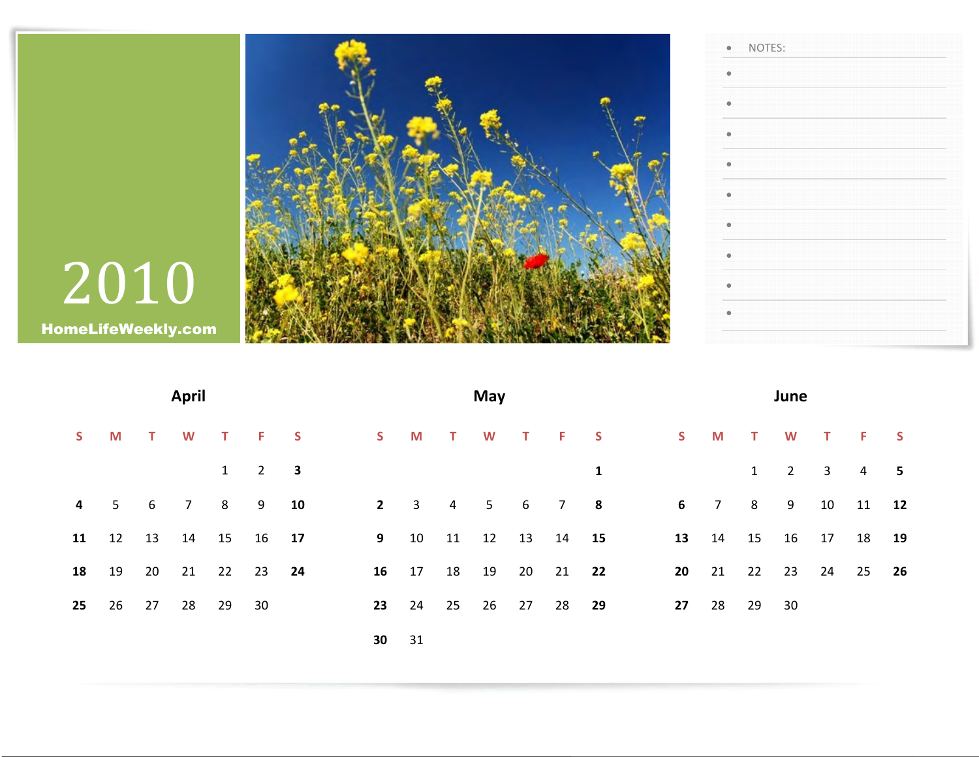

|    |       | <b>April</b>               |                     |             |             |              | May                |          |         | June          |    |                            |   |                         |                |          |      |
|----|-------|----------------------------|---------------------|-------------|-------------|--------------|--------------------|----------|---------|---------------|----|----------------------------|---|-------------------------|----------------|----------|------|
| S. | M     | T W T F S                  |                     |             |             |              |                    |          |         | S M T W T F S |    | S M T W                    |   |                         | T F S          |          |      |
|    |       |                            | $1 \quad 2 \quad 3$ |             |             |              |                    |          | 1       |               |    |                            | 1 | $\overline{\mathbf{2}}$ | $3 \t 4$       |          | $-5$ |
| 4  |       | 5 6 7 8 9 10               |                     |             | $2^{\circ}$ | $3 \qquad 4$ |                    |          | 5 6 7 8 |               | 6  | 7 8 9                      |   |                         |                | 10 11 12 |      |
|    |       | 11  12  13  14  15  16  17 |                     | $9^{\circ}$ |             |              | 10 11 12 13 14 15  |          |         |               |    | 13  14  15  16  17  18  19 |   |                         |                |          |      |
|    | 18 19 | 20 21 22 23 24             |                     |             | 16 17 18 19 |              |                    | 20 21 22 |         |               | 20 | 21                         |   |                         | 22 23 24 25 26 |          |      |
| 25 |       | 26 27 28 29                | 30                  | 23          | 24          |              | 25  26  27  28  29 |          |         |               |    | 27 28 29                   |   | 30                      |                |          |      |
|    |       |                            |                     | 30          | 31          |              |                    |          |         |               |    |                            |   |                         |                |          |      |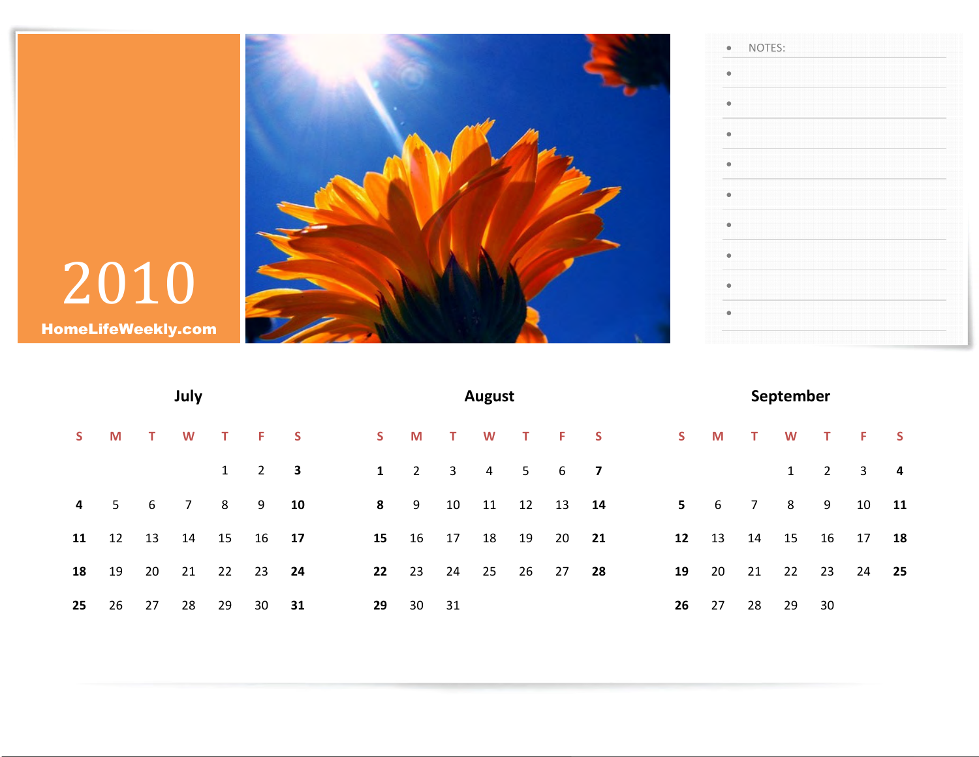

| <b>HomeLifeWeekly.com</b> |
|---------------------------|

|    |                |        | July |                |                |                         |           |             |              | <b>August</b>  |       |               | September |                |              |              |     |             |                     |                |
|----|----------------|--------|------|----------------|----------------|-------------------------|-----------|-------------|--------------|----------------|-------|---------------|-----------|----------------|--------------|--------------|-----|-------------|---------------------|----------------|
| S. | M              | $\top$ | W    | $\mathbf{T}$   | F.             | $\overline{\mathbf{S}}$ | S         | M           | $-$ T $-$    | W              |       | T F S         |           | S              | $\mathbf{M}$ | $\mathbf{T}$ | W   | $\top$      | $\sim$ F $_{\odot}$ | <b>S</b>       |
|    |                |        |      | $1 \quad$      | $\overline{2}$ | $\overline{\mathbf{3}}$ | $1 \quad$ | $2^{\circ}$ | $\mathbf{3}$ | $\overline{4}$ |       | $5 \t 6 \t 7$ |           |                |              |              | 1   | $2^{\circ}$ | $\mathbf{3}$        | $\overline{4}$ |
| 4  | 5 <sub>1</sub> | 6      | 7    | 8 <sup>2</sup> |                | 9 10                    | 8         | 9           | 10           | 11             | 12    | 13            | 14        | 5 <sub>1</sub> | 6            |              | 7 8 | 9           | 10                  | 11             |
| 11 | 12             | 13     | 14   | 15             |                | 16 17                   | 15        | 16          | 17           | 18             | 19    | 20            | 21        | 12             | 13           | 14           | 15  |             | 16 17               | 18             |
| 18 | 19             | 20     | 21   | 22             | 23 24          |                         |           | 22 23       | 24           |                | 25 26 | 27            | 28        | 19             |              | 20 21        | 22  | 23          | 24                  | 25             |
| 25 | 26             | 27     | 28   | 29             | 30             | 31                      | 29        | 30          | 31           |                |       |               |           | 26             | 27           | 28           | 29  | 30          |                     |                |